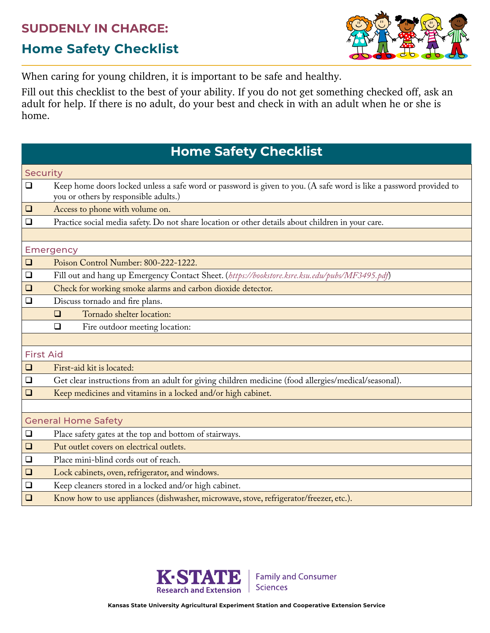## **SUDDENLY IN CHARGE:**

## **Home Safety Checklist**



When caring for young children, it is important to be safe and healthy.

Fill out this checklist to the best of your ability. If you do not get something checked off, ask an adult for help. If there is no adult, do your best and check in with an adult when he or she is home.

## **Home Safety Checklist**

| <b>Security</b>            |                                                                                                                                                             |  |
|----------------------------|-------------------------------------------------------------------------------------------------------------------------------------------------------------|--|
| $\Box$                     | Keep home doors locked unless a safe word or password is given to you. (A safe word is like a password provided to<br>you or others by responsible adults.) |  |
| ⊔                          | Access to phone with volume on.                                                                                                                             |  |
| $\Box$                     | Practice social media safety. Do not share location or other details about children in your care.                                                           |  |
|                            |                                                                                                                                                             |  |
| <b>Emergency</b>           |                                                                                                                                                             |  |
| $\Box$                     | Poison Control Number: 800-222-1222.                                                                                                                        |  |
| $\Box$                     | Fill out and hang up Emergency Contact Sheet. (https://bookstore.ksre.ksu.edu/pubs/MF3495.pdf)                                                              |  |
| ⊔                          | Check for working smoke alarms and carbon dioxide detector.                                                                                                 |  |
| $\Box$                     | Discuss tornado and fire plans.                                                                                                                             |  |
|                            | Tornado shelter location:<br>$\Box$                                                                                                                         |  |
|                            | Fire outdoor meeting location:<br>$\Box$                                                                                                                    |  |
|                            |                                                                                                                                                             |  |
| <b>First Aid</b>           |                                                                                                                                                             |  |
| $\Box$                     | First-aid kit is located:                                                                                                                                   |  |
| $\Box$                     | Get clear instructions from an adult for giving children medicine (food allergies/medical/seasonal).                                                        |  |
| $\Box$                     | Keep medicines and vitamins in a locked and/or high cabinet.                                                                                                |  |
|                            |                                                                                                                                                             |  |
| <b>General Home Safety</b> |                                                                                                                                                             |  |
| $\Box$                     | Place safety gates at the top and bottom of stairways.                                                                                                      |  |
| $\Box$                     | Put outlet covers on electrical outlets.                                                                                                                    |  |
| $\Box$                     | Place mini-blind cords out of reach.                                                                                                                        |  |
| $\Box$                     | Lock cabinets, oven, refrigerator, and windows.                                                                                                             |  |
| $\Box$                     | Keep cleaners stored in a locked and/or high cabinet.                                                                                                       |  |
| $\Box$                     | Know how to use appliances (dishwasher, microwave, stove, refrigerator/freezer, etc.).                                                                      |  |